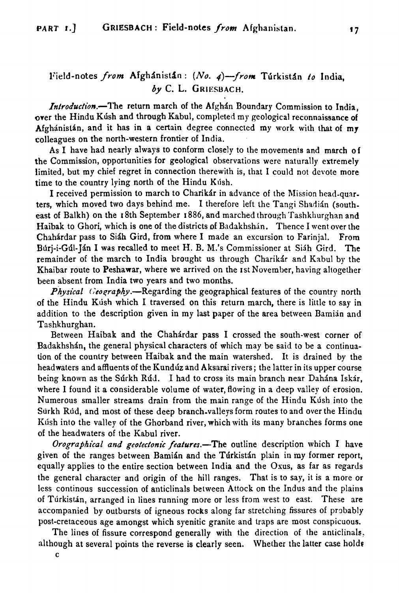## Field-notes from Afghánistán: (No. 4)-from Túrkistán to India,  $b\nu$  C. L. GRIESBACH.

Introduction.-The return march of the Afghan Boundary Commission to India, over the Hindu Kish and through Kabul, completed my geological reconnaissance **of**  Afghánistán, and it has in a certain degree connected my work with that of  $m\mathbf{v}$ colleagues on the north-western frontier of India.

As I have had nearly always to conform closely to the movements and march of the Commission, opportunities for geological observations were naturally extremely limited, but my chief regret in connection therewith is, that I could not devote more time to the country lying north of the Hindu Kush.

I received permission to march to Charikir in advance of the Mission head-quarters, which moved two days behind me. I therefore left the Tangi Shadián (southeast of Balkh) on the I 8th September I 886, and marched through 'Tashkliurghan and Haibak to Ghori, which is one of the districts of Badakhshan. Thence I went over the Chahárdar pass to Siáh Gird, from where I made an excursion to Farinjal. From Búri-i-Gúl-Ján I was recalled to meet H. B. M.'s Commissioner at Siáh Gird. The remainder of the march to India brought us through Charikár and Kabul by the Khaibar route to Peshawar, where we arrived on the 1st November, having altogether been absent from India two years and two months.

**Physical** Geography.—Regarding the geographical features of the country north of the Hindu Klish which I traversed on this return march, there is little to say in addition to the description given in my **last** paper of the area between Bamian and Tashkhurghan.

Between Haibak and the Chahdrdar pass I crossed the south-west corner of Badakhshán, the general physical characters of which may be said to be a continuation of the country between Haibak and the main watershed. It is drained by the headwaters and affluents of the Kundúz and Aksarai rivers; the latter in its upper course being known as the Surkh Rud. I had to cross its main branch near Dahana Iskar, where I found it a considerable volume of water, flowing in a deep valley of erosion. Numerous smaller streams drain from the main range of the Hindu Kush into the Surkh Rljd, and most of these deep branch-valleys form routes to and over the Hindu Kush into the valley of the Ghorband river, which with its many branches forms one of the headwaters of the Kabul river.

Orographical and geotectonic features.—The outline description which I have given of the ranges between Bamián and the Túrkistán plain in my former report, equally applies to the entire section between India and the Osus, as far as regards the general character and origin of the hill ranges. That is to say, it is a more or less continous succession of auticlinals between Attock on the Indus and the plains of Turkistan, arranged in lines running more or less from west to east. These are accompanied by outbursts of igneous rocks along far stretching fissures of probably post-cretaceous age amongst which syenitic granite and traps are most conspicuous.

The lines of fissure correspond generally with the direction of the anticlinals. although at several points the reverse is clearly seen. Whether the latter case holds

C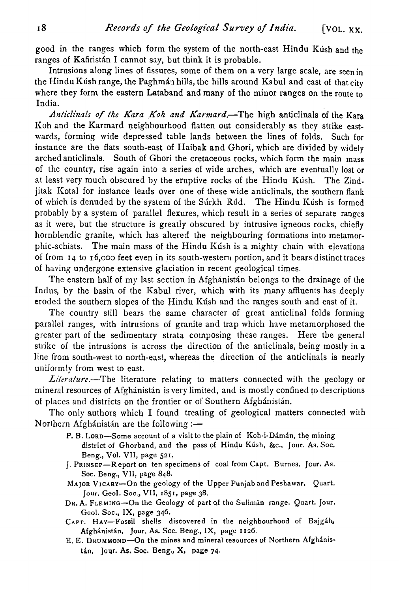good in the ranges which form the system of the north-east Hindu Kush and the ranges of Kafiristán I cannot say, but think it is probable.

Intrusions along lines of fissures, some of them on a very large scale, are seenin the Hindu Kush range, the Paghman hills, the hills around Kabul and east of that city where they form the eastern Lataband and many of the minor ranges on the route to India.

**Anticlinals** of *!he* Kora *Koh and* Karmard.-The high anticlinals of the **Kara**  Koh and the Karmard neighbourhood flatten out considerably as they strike eastwards, forming wide depressed table lands between the lines of folds. Such for instance are the flats south-east of Haibak and Ghori, which are divided by widely arched anticlinals. South of Ghori the cretaceous rocks, which form the main mass of the country, rise again into a series of wide arches, which are eventually lost or at least very much obscured by the eruptive rocks of the Hindu Kush. The Zindjitak Icotal for instance leads over one of these wide anticlinals, the southern flank of which is denuded by the system of the Súrkh Rúd. The Hindu Kúsh is formed probably by a system of parallel flexures, which result in a series of separate ranges as it were, but the structure is greatly obscured by intrusive igneous rocks, chiefly hornblendic granite, which has altered the neighbouring formations into metamorphic-schists. The main mass of the Hindu Kush is a mighty chain with elevations of from **14** to **16,000** feet even in its south-western portion, and it bears distinct traces of having undergone extensive glaciation in recent geological times.

The eastern half of my last section in Afghanistan belongs to the drainage of the Indus, by the basin of the Kabul river, which with its many affluents has deeply eroded the southern slopes of the Hindu Kúsh and the ranges south and east of it.

The country still bears the same character of great anticlinal folds forming parallel ranges, with intrusions of granite and trap which have metamorphosed the greater part of the sedimentary strata composing these ranges. Here tbe general strike of the intrusions is across the direction of the anticlinals, being mostly in a line from south-west to north-east, whereas the direction of the anticlinals is nearly uniformly from west to east.

*Literature*.—The literature relating to matters connected with the geology or mineral resources of Afghinistin is very limited, and is mostly confined to descriptions of places and districts on the frontier or of Southern Afghánistán.

The only authors which I found treating of geological matters connected with Northern Afghánistán are the following :-

- P. B. LORD-Some account of a visit to the plain of Koh-i-Dámán, the mining **district of Ghorband, and the pass of Hindu Klish, &c., Jour. As. Soc. Beng., Vol.** VII, **page** 521.
- J. PRINSEP-Report on ten specimens of coal from Capt. Burnes. Jour. As. **Soc. Beng.,** VII, **page 848.**
- **MAJOR VICARY-On the geology of the Upper Punjab and Peshawar. Quart. Jour. GeoI. Soc.,** VII, 1851, **page 38.**
- DR. A. FLEMING-On the Geology of part of the Suliman range. Quart. Jour. **Geol. Soc., IX, page 346.**
- CAPT. HAY-Fossil shells discovered in the neighbourhood of Bajgáh, Afghánistán. Jour. As. Soc. Beng., IX, page 1126.
- E. E. DRUMMOND—On the mines and mineral resources of Northern Afghanis**tán.** Jour. As. Soc. Beng., X, page 74.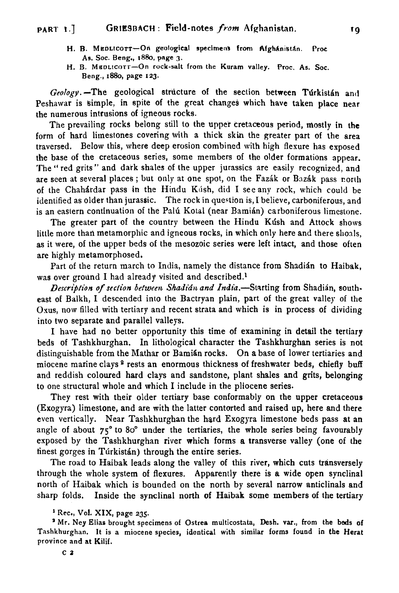- **H. R. MepLicort-On geological specimens from Afghanistan. Proc. As. Soc.** Beng., **1880,** pmge 3.
- H. B. MEDLICOTT-On rock-salt from the Kuram valley. Proc. As. Soc. Beng., 1880, page **123.**

*Geology*. -The geological structure of the section between Turkistan and Peshawar is simple, in spite of the great changes which have taken place near the numerous intrusions of igneous rocks.

The prevailing rocks belong still to the upper cretaceous period, mostly in the form of hard limestones covering with a thick skin the greater part of the area traversed. Below this, where deep erosion combined with high flexure has exposed the base of the cretaceous series, some members of the older formations appear. 'The " red grits " and dark shales of the upper jurassics are easily recognized, and are seen at several places; but only at one spot, on the Fazak or Bazak pass north of the Chahardar pass in the Hindu Kush, did I see any rock, which could be identified as older than jurassic. The rock in question is, I believe, carboniferous, and is an eastern continuation of the Palú Kotal (near Bamián) carboniferous limestone.

The greater part of the country between the Hindu Kush and Attock shows little more than metamorphic and igneous rocks, in which only here and there shoals, as it were, of the upper beds of the mesozoic series were left intact, and those often are highly metamorphosed.

Part of the return march to India, namely the distance from Shadián to Haibak. was over ground I had already visited and described.<sup>1</sup>

*Description of section between Shadián and India.*—Starting from Shadián, southeast OF Balkh, I descended into the Bactryan plain, part of the great valley of the Osus, now filled with tertiary and recent strata and which is in process of dividing into two separate and parallel valleys.

I have had no better opportunity this time of examining in detail the tertiary beds of Tashkhurghan. In lithological character the Tashkhurghan series is not distinguishable from the Mathar or Bamian rocks. On a base of lower tertiaries and miocene marine clays **2** rests an enormous thickness of freshwater beds, chiefly buff and reddish coloured hard clays and sandstone, plant shales and grits, belonging to one structural whole and which I include in the pliocene series.

They rest with their older tertiary base conformably on the upper cretaceous (Exogyra) limestone, and are with the latter contorted and raised up, here and there even vertically. Near Tashkhurghan the hard Exogyra limestone beds pass at **an**  angle of about **75"** to **80"** under the tertiaries, the whole series being favourably exposed by the Tashkhurghan river which forms a transverse valley (one of the tinest gorges in Túrkistán) through the entire series.

The road to Haibak leads along the valley of this river, which cuts transversely through the whole system of flexures. Apparently there is a wide open synclinal north of Haibak which is bounded on the north by several narrow anticlinals and sharp folds. Inside the synclinal north of Haibak some members of the tertiary

<sup>&</sup>lt;sup>1</sup> Rec., Vol. XIX, page 235.

**a Mr. Ney Elias** brought specimens of Ostree rnulticostata, **Desh. var.,** from **the beds** of Tashkhurghan. It is a miocene species, identical with similar forms found in the Herat province and at Kilif.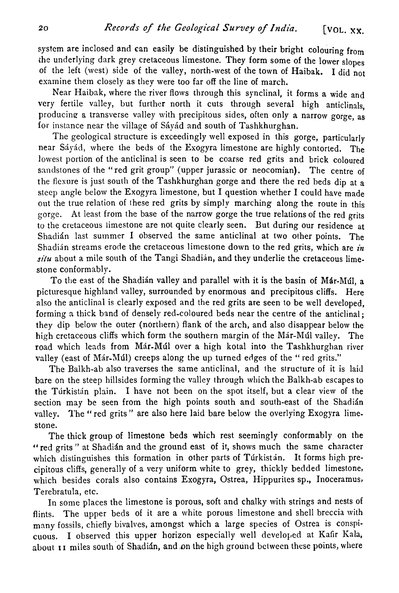system are inclosed and can easily be distinguished by their bright colouring from the underlying dark grey cretaceous limestone. They form some of the lower slopes of the left (west) side of the valley, north-west of the town of Haibak. I did not examine them closely as they were too far off the line of march.

Near Haibak, where the river flows through this synclinal, it forms a wide and very fertile valley, but further north it cuts through several high anticlinals, producing a transverse valley with precipitous sides, often only a narrow gorge, as for instance near the village of Sávád and south of Tashkhurghan.

The geological structure is exceedingly well exposed in this gorge, particularly near Sávád, where the beds of the Exogyra limestone are highly contorted. The lowest portion of the anticlinal is seen to be coarse red grits and brick coloured sandstones of the "red grit group" (upper jurassic or neocomian). The centre of the flexure is just south of the Tashkhurghan gorge and there the red beds dip at a steep angle below the Exogyra limestone, but I question whether I could have made out the true relation of these red grits by simply marching along the route in this gorge. At least from the base of the narrow gorge the true relations of the red grits to the cretaceous limestone are not quite clearly seen. But during our residence at Shadián last summer I observed the same anticlinal at two other points. The Shadián streams erode the cretaceous limestone down to the red grits, which are *in silu* about a mile south of the Tangi Shadián, and they underlie the cretaceous limestone conformably.

To the east of the Shadian valley and parallel with it is the basin of Mar-Mul, a picturesque highland valley, surrounded by enormous and precipitous cliffs. Here also the anticlinal is clearly exposed and the red grits are seen to be well developed, forming a thick band of densely red-coloured beds near the centre of the anticlinal; they dip below the outer (northern) flank of the arch, and also disappear below the high cretaceous cliffs which form the southern margin of the Már-Múl valley. The road which leads from Már-Múl over a high kotal into the Tashkhurghan river valley (east of Már-Múl) creeps along the up turned edges of the " red grits."

The Balkh-ab also traverses the same anticlinal, and the structure of it is laid bare on the steep hillsides forming the valley through which the Balkh-ab escapes to the Túrkistán plain. I have not been on the spot itself, but a clear view of the section may be seen from the high points south and south-east of the Shadián valley. The "red grits" are also here laid bare below the overlying Exogyra limestone.

The thick group of limestone beds which rest seemingly conformably on the "red grits" at Shadián and the ground east of it, shows much the same character which distinguishes this formation in other parts of Turkistan. It forms high precipitous cliffs, generally of a very uniform white to grey, thickly bedded limestone, which besides corals also contains Exogyra, Ostrea, Hippurites sp., Inoceramus, Terebratula, etc.

In some places the limestone is porous, soft and chalky with strings and nests of flints. The upper beds of it are a white porous limestone and shell breccia with many fossils, chiefly bivalves, amongst which a large species of Ostrea is conspicuous. I observed this upper horizon especially well developed at Kafir Kala, about **11** miles south of Shadián, and on the high ground between these points, where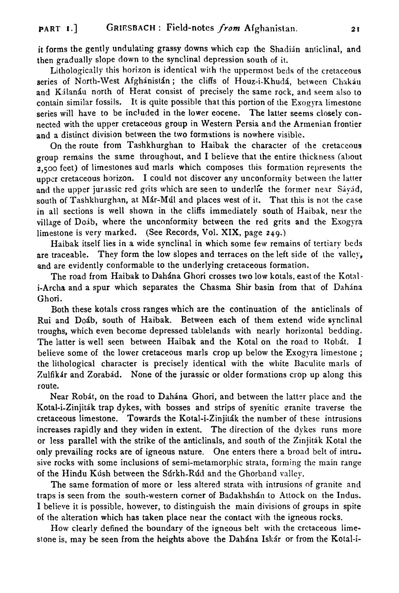it forms the gently undulating grassy downs which cap the Shadián anticlinal, and then gradually slope down to the synclinal depression south of it.

Lithologically this horizon is identical with the uppermost beds of the cretaceous series of North-West Afghanistan; the cliffs of Houz-i-Khuda, between Chakau and Kilanau north of Herat consist of precisely the same rock, and seem also to contain similar fossils. It is quite possible that this portion of the Exogyra limestone series will have to be included in the lower eocene. The latter seems closely connected with the upper cretaceous group in Western Persia and the Armenian frontier and a distinct division between the two formations is nowhere visible.

On the route from Tashkhurghan to Haibak the character of the cretaceous group remains the same throughout, and I believe that the entire thickness (about  $2,500$  feet) of limestones aud marls which composes this formation represents the upper cretaceous horizon. I could not discover any unconformity between the latter and the upper jurassic red grits which are seen to underlie the former near Sávád, south of Tashkhurghan, at Már-Múl and places west of it. That this is not the case in all sections is well shown in the cliffs immediately south of Haibak, nezr the village of Doib, where the unconformity between the red grits and the Exogyra limestone is very marked. (See Records, Vol. XIX, page 249.)

Haibak itself lies in a wide synclinal in which some few remains of tertiary beds are traceable. They form the low slopes and terraces on the left side of the valley, and are evidently conformable to the underlying cretaceous formation.

The road from Haibak to Dahána Ghori crosses two low kotals, east of the Kotali-Archa and a spur which separates the Chasma Shir basin from that of Dahina Ghori.

Both these kotals cross ranges which are the continuation of the anticlinals of Rui and Doáb, south of Haibak. Between each of them extend wide synclinal troughs, which even become depressed tablelands with nearly horizontal bedding. The latter is well seen between Haibak and the Kotal on the road to Robat. I believe some of the lower cretaceous marls crop up below the Exogyra limestone ; the lithological character is precisely identical with the white Daculite maris of Zulfikár and Zorabád. None of the jurassic or older formations crop up along this route.

Near Robit, on the road to Dahina Ghori, and between the latter place and the Kotal-i-Zinjiták trap dykes, with bosses and strips of syenitic granite traverse the cretaceous limestone. Towards the Kotal-i-Zinjiták the number of these intrusions increases rapidly and they widen in extent. The direction of the dykes runs more or less parallel with the strike of the anticlinals, and south of the Zinjitak Kotal the only prevailing rocks are of igneous nature. One enters lhere a broad belt of intrusive rocks with some inclusions of semi-metamorphic strata, forming the main range of the Hindu Kúsh between the Súrkh-Rúd and the Ghorband valley.

The same formation of more or less altered strata with intrusions of granite and traps is seen from the south-western corner of Badakhshan to Attock on the Indus. I believe it is possible, however, to distinguish the main divisions of groups in spite of the alteration which has taken place near the contact with the igneous rocks.

How clearly defined the boundary of the igneous belt with the cretaceous limestone is, may be seen from the heights above the Dahána Iskár or from the Kotal-i-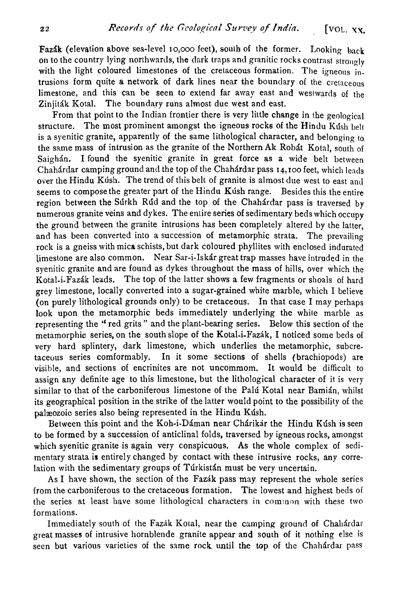Fazák (elevation above sea-level 10,000 feet), south of the former. Looking back on to the country lying northwards, the dark traps and granitic rocks contrast strongly with the light coloured limestones of the cretaceous formation. The igneous  $\overline{\text{in}}$ . trusions form quite a network of dark lines near the boundary of the cretaceous limestone, and this can be seen to extend far away east and westwards of the Zinjiták Kotal. The boundary runs almost due west and east.

From that point to the Indian frontier there is very little change in the geological structure. The most prominent amongst the igneous rocks of the Hindu Kush belt is a syenitic granite, apparently of the same lithological character, and belonging to the same mass of intrusion as the granite of the Northern Ak Robat Kotal, south of Saighán. I found the syenitic granite in great force as a wide belt between ChahArdar camping ground and the top of the Chahkdar pass **14, IOO** feet, which leads over the Hindu Kush. The trend of this belt of granite is almost due west to east and seems to compose the greater part of the Hindu Kush range. Besides this the entire region between the Sdrkh Rdd and the top of the Chahdrdar pass is traversed **by**  numerous granite veins and dykes. The entire series of sedimentary beds which occupy the ground between the granite intrusions has been completely altered by the latter, and has been converted into a succession of metamorphic strata. The prevailing rock is a gneiss with mica schists, but dark coloured phyllites with enclosed indurated limestone are also common. Near Sar-i-Iskdr great trap masses have intruded in the syenitic granite and are found as dykes throughout the mass of hills, over which the Kotal-i-Fazdk leads. The top of the latter shows a few fragments or shoals of hard grey limestone, locally converted into a sugar-grained white marble, which I believe (on purely lithological grounds only) to be cretaceous. In that case I may perhaps look upon the metamorphic beds immediately underlying the white marble as representing the " red grits " and the plant-bearing series. Below this section of the metamorphic series, on the south slope of the Kotal-i-Fazik, I noticed some beds of very hard splintery, dark limestone, which underlies the metamorphic, subcretaceuus series comformably. In it some sections of shells (brachiopods) are visible, and sections of encrinites are not uncommom. It would be difficult to assign any definite age to this limestone, but the lithological character of it is very similar to that of the carboniferous limestone of the Palú Kotal near Bamián, whilst its geographical position in the strike of the latter would point to the possibility of the palzeozoic series also being represented in the Hindu Kdsh.

Between this point and the Koh-i-Dáman near Chárikár the Hindu Kúsh is seen to be formed by a succession of anticlinal folds, traversed by igneous rocks, amongst which syenitic granite is again very conspicuous. As the whole complex of sedimentary strata is entirely changed by contact with these intrusive rocks, any correlation with the sedimentary groups of Túrkistán must be very uncertain.

As I have shown, the section of the Fazdk pass may represent the whole series from the carboniferous to the cretaceous formation. The lowest and highest beds ol the series at least have some lithological characters in common with these two formations.

Immediately south of the Fazak Kotal, near the camping ground of Chahardar great masses of intrusive hornblende granite appear and south of it nothing else is seen but various varieties of the same rock until the top of the Chahdrdar pass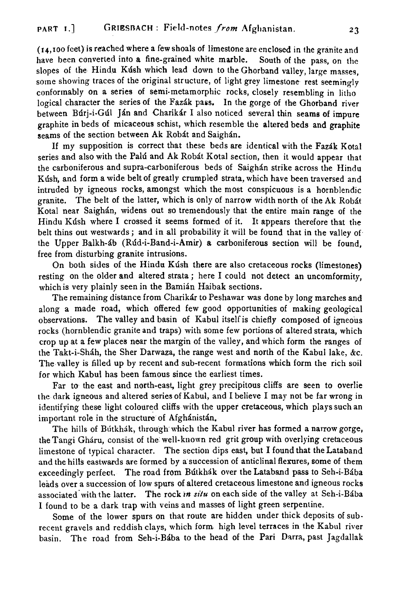(14,roo fcet) is reached where a few shoals of limestone are enclosed in the granite and have been converted into a fine-grained white marble. South of the pass, on the slopes of the Hindu Kush which lead down to the Ghorband valley, large masses, some showing traces of the original structure, of light grey limestone rest seemingly conformably on a series of semi-metamorphic rocks, closely resembling in litho logical character the series of the Fazák pass. In the gorge of the Ghorband river between Búri-i-Gúl Ján and Charikár I also noticed several thin seams of impure graphite in beds of micaceous schist, which resemble the altered beds and graphite seams of the section between Ak Robát and Saighán.

If my supposition is correct that these beds are identical with the Fazdk Kotal series and also with the Palú and Ak Robát Kotal section, then it would appear that the carboniferous and supra-carboniferous beds of Saighán strike across the Hindu Kush, and form a wide belt of greatly crumpled strata, which have been traversed and intruded by igneous rocks, amongst which the most conspicuous is a hornblendic granite. The belt of the latter, which is only of narrow width north of the Ak Robát Kotal near Saighán, widens out so tremendously that the entire main range of the Hindu Kdsh where I crossed it seems formed of it. It appears therefore that the belt thins out westwards; and in all probability it will be found that in the valley of the Upper Balkh-db (Rdd-i-Band-i-Amir) a carboniferous section will be found, free from disturbing granite intrusions.

On both sides of the Hindu Kúsh there are also cretaceous rocks (limestones) resting on the older and altered strata ; here I could not detect an uncomformity, which is very plainly seen in the Bamián Haibak sections.

The remaining distance from Charikdr to Peshawar was done by long marches and along a made road, which offered few good opportunities of making geological observations. The valley and basin of Kabul itself is chiefly composed of igneous rocks (hornblendic granite and traps) with some few portions of altered strata, which crop up at a few places near the margin of the valley, and which form the ranges of the Takt-i-Shah, the Sher Darwaza, the range west and north of the Kabul lake, &c. The valley is filled up by recent and sub-recent formations which form the rich soil for which Kabul has been famous since the earliest times.

Far to the east and north-east, light grey precipitous cliffs are seen to overlie the dark igneous and altered series of Kabul, and I believe I may not be far wrong in identifying these light coloured cliffs with the upper cretaceous, which plays such an important role in the structure of Afghánistán.

The hills of Bútkhák, through which the Kabul river has formed a narrow gorge, theTangi Gharu, consist of the well-kuown red grit group with overlying cretaceous limestone of typical character. The section dips east, but I found that the Lataband and the hills eastwards are formed by a succession of anticlinal flexures, some of them exceedingly perfect. The road from Bútkhák over the Lataband pass to Seh-i-Bába leads over a succession of low spurs of altered cretaceous limestone and igneous rocks associated with the latter. The rock *in situ* on each side of the valley at Seh-i-Bába I found to be a dark trap with veins and masses of light green serpentine.

Some of the lower spurs on that route are hidden under thick deposits of subrecent gravels and reddish clays, which form high level terraces in the Kabul river basin. The road from Seh-i-Bába to the head of the Pari Darra, past Jagdallak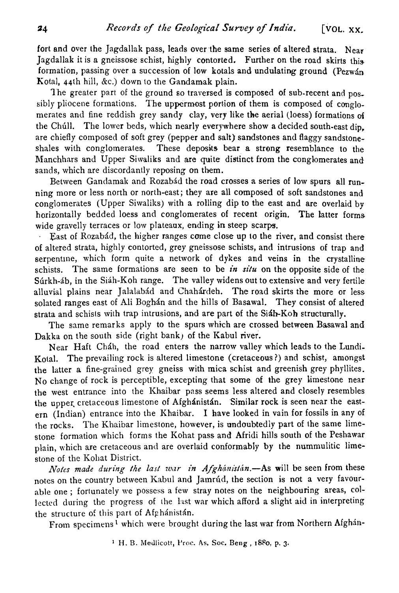fort and over the Jagdallak pass, leads over the same series of altered strata. Near Jagdallak it is a gneissose schist, highly contorted. Further on the road skirts this formation, passing over a succession of low kotals and undulating ground (Pezw $4n$ Kotal, 44th hill, &c.) down to the Gandamak plain.

The greater part of the ground so traversed is composed of sub-recent and possibly pliocene formations. The uppermost portion of them is composed of conglomerates and fine reddish grey sandy clay, very like the aerial (loess) formations **of**  the Chúll. The lower beds, which nearly everywhere show a decided south-east dip. are chiefly composed of soft grey (pepper and salt) sandstones and flaggy sandstoneshales with conglomerates. These deposits bear a strong resemblance to the Manchhars and Upper Siwaliks and are quite distinct from the conglomerates and sands, which are discordantly reposing on them.

Between Gandamak and Rozabád the road crosses a series of low spurs all running more or less north or north-east; they are all composed of soft sandstones and; conglomerates (Upper Siwalilis) with a rolling dip to the east and are overlaid by horizontally bedded loess and conglomerates of recent origin. The latter forms wide gravelly terraces or low plateaux, ending in steep scarps.

East of Rozabád, the higher ranges come close up to the river, and consist there of altered strata, highly contorted, grey gneissose schists, and intrusions of trap and serpentine, which form quite a network of dykes and veins in the crystalline schists. The same formations are seen to be in situ on the opposite side of the Súrkh-áb, in the Siáh-Koh range. The valley widens out to extensive and very fertile alluvial plains near Jalalabád and Chahárdeh. The road skirts the more or less solated ranges east of Ali Boghán and the hills of Basawal. They consist of altered strata and schists with trap intrusions, and are part of the Si $4h-K$ oh structurally.

The same remarks apply to the spurs which are crossed between Basawal and Dakka on the south side (right bank) of the Kabul river.

Near Haft Chdh, the road enters the narrow valley which leads to the Lundi-Kotal. The prevailing rock is altered limestone (cretaceous?) and schist, amongst the latter a fine-grained grey gneiss with mica schist and greenish grey phyllites. No change of rock is perceptible, excepting that some of the grey limestone near the west entrance into the Khaibar pass seems less altered and closely resembles the upper cretaceous limestone of Afghánistán. Similar rock is seen near the eastern (Indian) entrance into the Khaibar. I have looked in vain for fossils in any of the rocks. The Khaibar limestone, however, is undoubtediy part of the same limestone formation which forms the Kohat pass and Afridi hills south of the Peshawar plain, which are cretaceous and are overlaid conformably by the nummulitic limestone of the Kohat District.

Notes made during the last *war in Afghánistán*.—As will be seen from these notes on the country between Kabul and Jamrúd, the section is not a very favourable one; fortunately we possess a few stray notes on the neighbouring areas, collected during the progress of the last war which afford a slight aid in interpreting the structure of this part of Afghánistán.

From specimens<sup>1</sup> which were brought during the last war from Northern Afghán-

**1 H.** B. Melllicott, i'roc. **As.** *Soc.* **Beng** , **1880, p. 3.**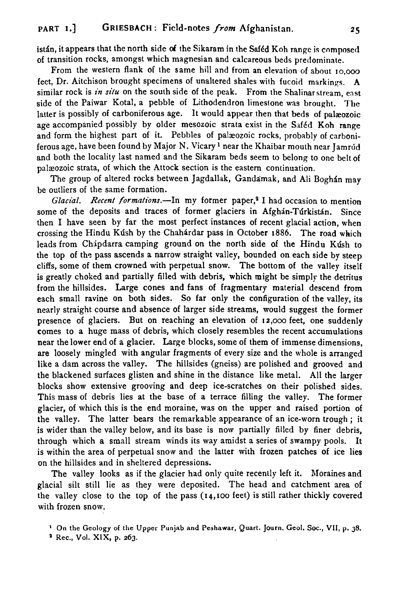istán, it appears that the north side of the Sikaram in the Saféd Koh range is composed of transition rocks, amongst which magnesian and calcareous beds pretlominate.

From the western flank of the same hill and from an elevation of about 10,000 feet, Dr. Aitchison brought specimens of unaltered shales with fucoid markings. **A**  similar rock is in situ on the south side of the peak. From the Shalinar stream, east side of the Paiwar Kotal, a pebble of Lithodendron limestone was brought. The latter is possibly of carboniferous age. It would appear then that beds of palæozoic age accompanied possibly by older mesozoic strata exist in the Saféd Koh range and form the highest part of it. Pebbles of paleozoic rocks, probably of carboniferous age, have been found by Major N. Vicary <sup>1</sup> near the Khaibar mouth near Jamrúd and both the locality last named and the Sikaram beds seem **to** belong to onc belt of palæozoic strata, of which the Attock section is the eastern continuation.

The group of altered rocks between Jagdallak, Gandamak, and Ali Boghán may be outliers of the same formation.

*Glacial. Recent formations.*-In my former paper,<sup>2</sup> I had occasion to mention some of the deposits and traces of former glaciers in Afghan-Turkistan. Since then I have seen by far the most perfect instances of recent glacial action, when crossing the Hindu Kdsh by the Chahirdar pass in October 1886. The road which leads from Chápdarra camping ground on the north side of the Hindu Kush to the top of the pass ascends a narrow straight valley, bounded on each side by steep cliffs, some of them crowned with perpetual snow. The bottom of the valley itself is greatly choked and partially filled with debris, which might be simply the detritus from the hillsides. Large cones and fans of fragmentary material descend from each small ravine on both sides. So far only the configuration of the valley, its nearly straight course and absence of larger side streams, mould suggest the former presence of glaciers. But on reaching an elevation of **12,ooo** feet, one suddenly comes to a huge mass of debris, which closely resembles the recent accumulations near the lower end of a glacier. Large blocks, some of them of immense dimensions, are loosely mingled with angular fragments of every size and the whole is arranged like a dam across the valley. The hillsides (gneiss) are polished and grooved and the blackened surfaces glisten and shine in the distance like metal. All the larger blocks show extensive grooving and deep ice-scratches on their polished sides. This mass of debris lies at the base of a terrace filling the valley. The former glacier, of which this is the end moraine, was on the upper and raised portion of the valley. The latter bears the remarkable appearance of an ice-worn trough ; it is wider than the valley below, and its base is now partially filled by finer debris, through which a small stream winds its way amidst a series of swampy pools. It is within the area of perpetual snow and the latter with frozen patches of ice lies on the hillsides and in sheltered depressions.

The valley looks as if the glacier had only quite recenlly left it. Moraines and glacial silt still lie as they were deposited. The head and catchment area of the valley close to the top of the pass (14,100 feet) is still rather thickly covered with frozen snow.

**On** the Geology of **the** Upper **Punjab and Peshawar, Quart. Journ. Geol. Soc., VII, p. 38.** 

**a** Rec., Vol. XIX, p. 263.